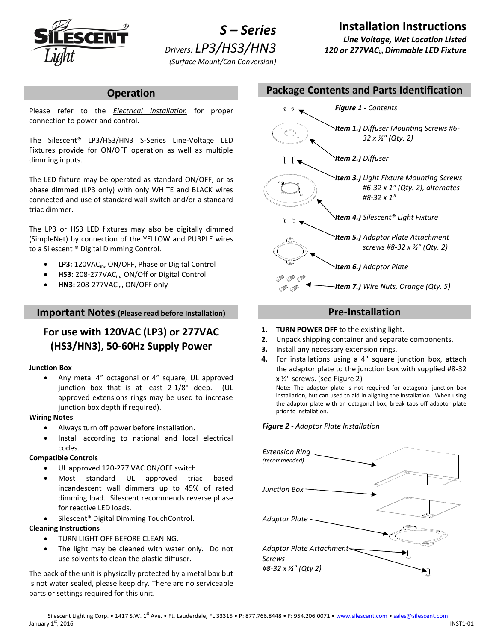

*S – Series Drivers: LP3/HS3/HN3 (Surface Mount/Can Conversion)*

# **Installation Instructions**

*Line Voltage, Wet Location Listed 120 or 277VACin Dimmable LED Fixture*

## **Operation**

Please refer to the *Electrical Installation* for proper connection to power and control.

The Silescent® LP3/HS3/HN3 S-Series Line-Voltage LED Fixtures provide for ON/OFF operation as well as multiple dimming inputs.

The LED fixture may be operated as standard ON/OFF, or as phase dimmed (LP3 only) with only WHITE and BLACK wires connected and use of standard wall switch and/or a standard triac dimmer.

The LP3 or HS3 LED fixtures may also be digitally dimmed (SimpleNet) by connection of the YELLOW and PURPLE wires to a Silescent ® Digital Dimming Control.

- LP3: 120VAC<sub>in</sub>, ON/OFF, Phase or Digital Control
- HS3: 208-277VAC<sub>in</sub>, ON/Off or Digital Control
- **HN3:** 208-277VACin, ON/OFF only

## **Important Notes (Please read before Installation)**

# **For use with 120VAC (LP3) or 277VAC (HS3/HN3), 50-60Hz Supply Power**

### **Junction Box**

 Any metal 4" octagonal or 4" square, UL approved junction box that is at least 2-1/8" deep. (UL approved extensions rings may be used to increase junction box depth if required).

#### **Wiring Notes**

- Always turn off power before installation.
- Install according to national and local electrical codes.

### **Compatible Controls**

- UL approved 120-277 VAC ON/OFF switch.
- Most standard UL approved triac based incandescent wall dimmers up to 45% of rated dimming load. Silescent recommends reverse phase for reactive LED loads.
- Silescent® Digital Dimming TouchControl.

### **Cleaning Instructions**

- TURN LIGHT OFF BEFORE CLEANING.
- The light may be cleaned with water only. Do not use solvents to clean the plastic diffuser.

The back of the unit is physically protected by a metal box but is not water sealed, please keep dry. There are no serviceable parts or settings required for this unit.



# **Pre-Installation**

- **1. TURN POWER OFF** to the existing light.
- **2.** Unpack shipping container and separate components.
- **3.** Install any necessary extension rings.
- **4.** For installations using a 4" square junction box, attach the adaptor plate to the junction box with supplied #8-32 x ½" screws. (see Figure 2)

Note: The adaptor plate is not required for octagonal junction box installation, but can used to aid in aligning the installation. When using the adaptor plate with an octagonal box, break tabs off adaptor plate prior to installation.

*Figure 2 - Adaptor Plate Installation*